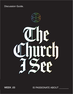**Discussion Guide.** 



WEEK .02 WEEK .03

IS PASSIONATE ABOUT \_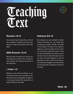



### **Romans 15:13**

Now may the God of hope fill you with all joy and peace in believing, that you may abound in hope by the power of the Holy Spirit.

### **(NIV) Romans 15:13**

May the God of hope fill you with all joy and peace as you trust in him, so that you may overflow with hope by the power of the Holy Spirit.

# **1 Peter 1:3**

Blessed be the God and Father of our Lord Jesus Christ, who according to His abundant mercy has begotten us again to a living hope through the resurrection of Jesus Christ from the dead,

### **Hebrews 6:9-12**

But, beloved, we are confident of better things concerning you, yes, things that accompany salvation, though we speak in this manner. For God is not unjust to forget your work and labor of love which you have shown toward His name, in that you have ministered to the saints, and do minister. And we desire that each one of you show the same diligence to the full assurance of hope until the end, that you do not become sluggish, but imitate those who through faith and patience inherit the promises.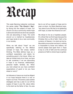# Recap

This week Banning Liebscher continues the series called "**The Church I See**", by diving into the subject of hope. Our church is to be a community where hope is alive and well and we are to be a people who are abounding in hope. The world around us is marked by hopelessness and hope tends to be a rare commodity in our society.

When we talk about "hope" we are specifically referring to the Biblical concept of hope. Not simply wishful thinking. The Bible defines hope as: a confident expectation and desire for something good in the future. When we take an honest look at our lives, we have to ask ourselves if we are abounding in hope in our finances, relationships, personal health, families, etc. When you look ahead do you have confident expectations of good or do you have dread or worry?

As followers of Jesus we must be diligent in our hope because there is a war on hope in our lives. The enemy uses warfare strategies and has a plan to cut off the supply of hope in your life. Jesus refers to the devil as the father of lies. He uses

lies to cut off our supply of hope and to wear us down. As Steve Backlund says, "any area of your life that is not glistening with hope, is under the influence of a lie".

We refuse to live as a hopeless people. It's critical that we find hope because the Christian life is a life of faith. Faith is the currency of Heaven, it is what we live by. Mountains move when we have it, nothing is impossible to those who believe, we cannot please God apart from it. Hope is key to a life of faith and the continual presence of faith is where hope is ignited.

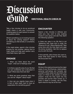# Discussion Guide **EMOTIONAL HEALTH CHECK IN**

Take a few minutes to do an emotional health check in with your Community, creating space for each person to answer the question below:

What's something you're looking forward to about the coming season? What's something you feel anxiety or uncertainty about?

If the need arises, spend a few minutes praying for one another, asking God to meet needs and help each person carry what feels heavy right now.

# **ENGAGE**

1. When you think about the word "hope", what sort of feelings arise?

2. Is there a specific area of your life that you can confidently say is abundant in hope? What does that look like?

3. What are some practical ways that you can be "diligent" about hope?

4. How can you reignite hope when it is lost or feels really hard to have an expectation for something good?

# **ENCOUNTER**

Spend a few minutes in stillness and quiet (you may want to play soaking music) in your group and ask Holy Spirit the following question:

Is there any area in my life that is not "glistening with hope and is under the influence of a lie" (Steve Backlund)? Take some time with the Holy Spirit and seek His divine revelation. Ask Him to replace any lie with His truth.

If time permits, allow those who want to, share what God spoke to them during the Encounter time.

### **EQUIP**

Sit down this week and examine the major areas of your life (finances, relationships, personal well-being) and honestly ask yourself if these areas are abundant with hope or if there is any anxiety or dread present. Invite the Holy Spirit into the process and journal what comes up. If there is dread or anxiety, ask the Holy Spirit what lie may be at the root.